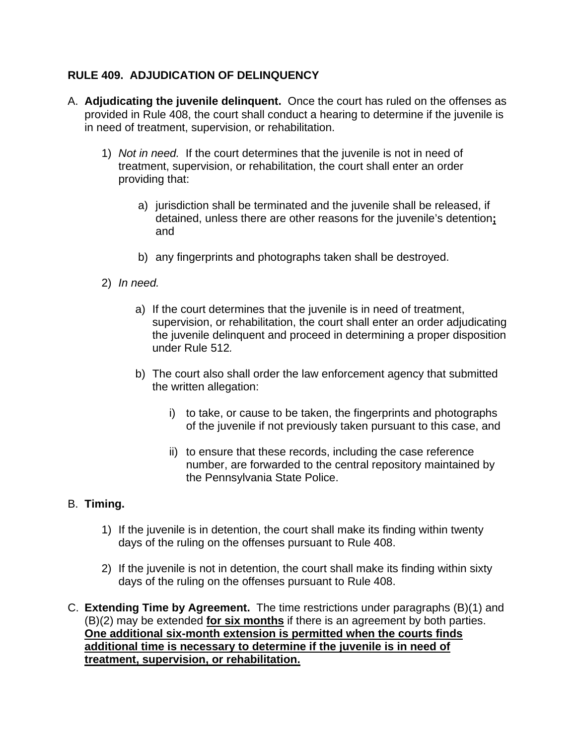## **RULE 409. ADJUDICATION OF DELINQUENCY**

- A. **Adjudicating the juvenile delinquent.** Once the court has ruled on the offenses as provided in Rule 408, the court shall conduct a hearing to determine if the juvenile is in need of treatment, supervision, or rehabilitation.
	- 1) *Not in need.*If the court determines that the juvenile is not in need of treatment, supervision, or rehabilitation, the court shall enter an order providing that:
		- a) jurisdiction shall be terminated and the juvenile shall be released, if detained, unless there are other reasons for the juvenile's detention**;**  and
		- b) any fingerprints and photographs taken shall be destroyed.
	- 2) *In need.*
		- a) If the court determines that the juvenile is in need of treatment, supervision, or rehabilitation, the court shall enter an order adjudicating the juvenile delinquent and proceed in determining a proper disposition under Rule 512*.*
		- b) The court also shall order the law enforcement agency that submitted the written allegation:
			- i) to take, or cause to be taken, the fingerprints and photographs of the juvenile if not previously taken pursuant to this case, and
			- ii) to ensure that these records, including the case reference number, are forwarded to the central repository maintained by the Pennsylvania State Police.

## B. **Timing.**

- 1) If the juvenile is in detention, the court shall make its finding within twenty days of the ruling on the offenses pursuant to Rule 408.
- 2) If the juvenile is not in detention, the court shall make its finding within sixty days of the ruling on the offenses pursuant to Rule 408.
- C. **Extending Time by Agreement.** The time restrictions under paragraphs (B)(1) and (B)(2) may be extended **for six months** if there is an agreement by both parties. **One additional six-month extension is permitted when the courts finds additional time is necessary to determine if the juvenile is in need of treatment, supervision, or rehabilitation.**